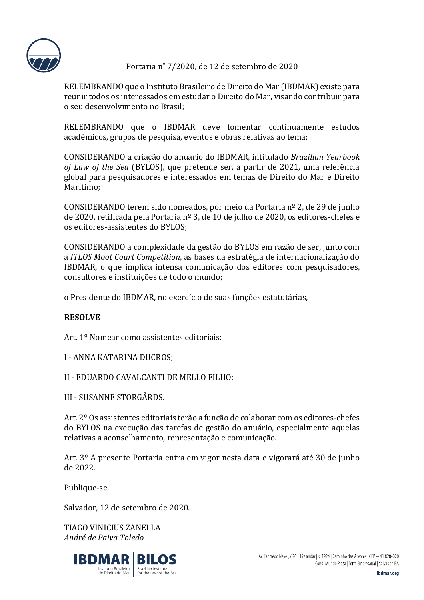

Portaria n˚ 7/2020, de 12 de setembro de 2020

RELEMBRANDO que o Instituto Brasileiro de Direito do Mar (IBDMAR) existe para reunir todos os interessados em estudar o Direito do Mar, visando contribuir para o seu desenvolvimento no Brasil;

RELEMBRANDO que o IBDMAR deve fomentar continuamente estudos acadêmicos, grupos de pesquisa, eventos e obras relativas ao tema;

CONSIDERANDO a criação do anuário do IBDMAR, intitulado *Brazilian Yearbook of Law of the Sea* (BYLOS), que pretende ser, a partir de 2021, uma referência global para pesquisadores e interessados em temas de Direito do Mar e Direito Marítimo;

CONSIDERANDO terem sido nomeados, por meio da Portaria nº 2, de 29 de junho de 2020, retificada pela Portaria nº 3, de 10 de julho de 2020, os editores-chefes e os editores-assistentes do BYLOS;

CONSIDERANDO a complexidade da gestão do BYLOS em razão de ser, junto com a *ITLOS Moot Court Competition*, as bases da estratégia de internacionalização do IBDMAR, o que implica intensa comunicação dos editores com pesquisadores, consultores e instituições de todo o mundo;

o Presidente do IBDMAR, no exercício de suas funções estatutárias,

## **RESOLVE**

Art. 1º Nomear como assistentes editoriais:

I - ANNA KATARINA DUCROS;

II - EDUARDO CAVALCANTI DE MELLO FILHO;

III - SUSANNE STORGÅRDS.

Art. 2º Os assistentes editoriais terão a função de colaborar com os editores-chefes do BYLOS na execução das tarefas de gestão do anuário, especialmente aquelas relativas a aconselhamento, representação e comunicação.

Art. 3º A presente Portaria entra em vigor nesta data e vigorará até 30 de junho de 2022.

Publique-se.

Salvador, 12 de setembro de 2020.

TIAGO VINICIUS ZANELLA *André de Paiva Toledo*